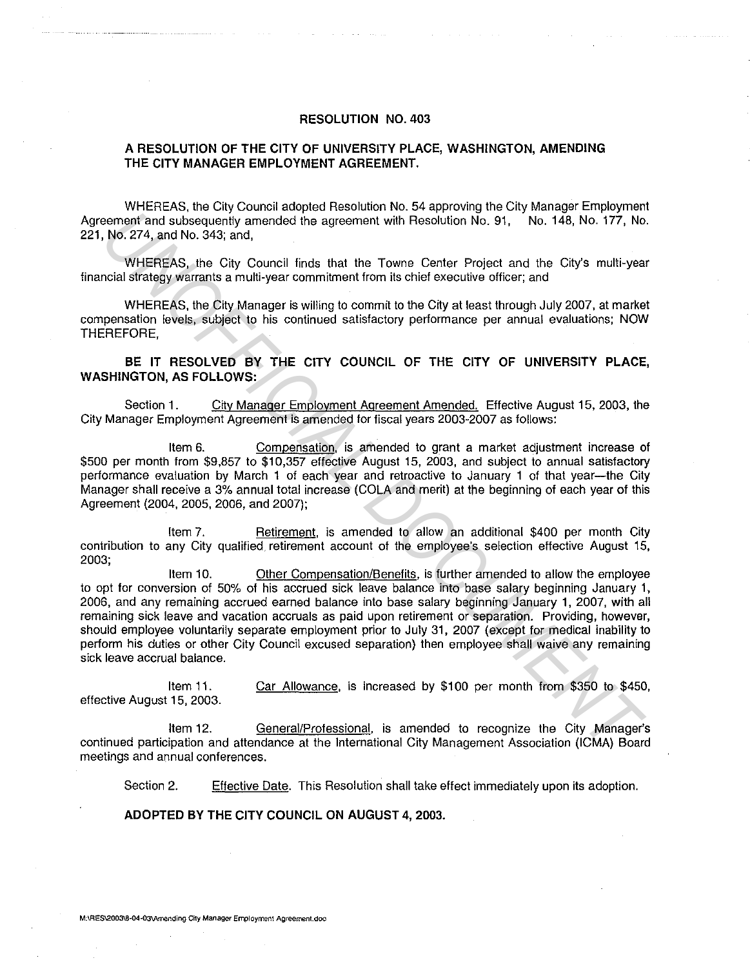## **RESOLUTION NO. 403**

## **A RESOLUTION OF THE CITY OF UNIVERSITY PLACE, WASHINGTON, AMENDING THE CITY MANAGER EMPLOYMENT AGREEMENT.**

WHEREAS, the City Council adopted Resolution No. 54 approving the City Manager Employment Agreement and subsequently amended the agreement with Resolution No. 91, No. 148, No. 177, No. 221, No. 274, and No. 343; and,

WHEREAS, the City Council finds that the Towne Center Project and the City's multi-year financial strategy warrants a multi-year commitment from its chief executive officer; and

WHEREAS, the City Manager is willing to commit to the City at least through July 2007, at market compensation levels, subject to his continued satisfactory performance per annual evaluations; NOW THEREFORE,

## **BE IT RESOLVED BY THE CITY COUNCIL OF THE CITY OF UNIVERSITY PLACE, WASHINGTON, AS FOLLOWS:**

Section 1. City Manager Employment Agreement Amended. Effective August 15, 2003, the City Manager Employment Agreement is amended for fiscal years 2003-2007 as follows:

Item 6. Compensation, is amended to grant a market adjustment increase of \$500 per month from \$9,857 to \$10,357 effective August 15, 2003, and subject to annual satisfactory performance evaluation by March 1 of each year and retroactive to January **1** of that year-the City Manager shall receive a 3% annual total increase (COLA and merit) at the beginning of each year of this Agreement (2004, 2005, 2006, and 2007);

Item 7. Retirement, is amended to allow an additional \$400 per month City contribution to any City qualified retirement account of the employee's selection effective August 15, 2003;

Item 10. Other Compensation/Benefits, is further amended to allow the employee to opt for conversion of 50% of his accrued sick leave balance into base salary beginning January 1, 2006, and any remaining accrued earned balance into base salary beginning January **1,** 2007, with all remaining sick leave and vacation accruals as paid upon retirement or separation. Providing, however, should employee voluntarily separate employment prior to July 31, 2007 (except for medical inability to perform his duties or other City Council excused separation) then employee shall waive any remaining sick leave accrual balance. **EXAMPLE THE CITY COUNCIL OF THE CITY COUNCIL AND THE CONDUCT IN THE CASE AND ASSAMO. THE NOCE AND ASSAMO, THE CITY COUNCIL DET THE CITY OF UNIVERSITY PLACE THE CITY COUNCIL THE CITY COUNCIL OF THE CITY OF UNIVERSITY PLACE** 

Item 11. effective August 15, 2003. Car Allowance, is increased by \$100 per month from \$350 to \$450,

Item 12. General/Professional, is amended to recognize the City Manager's continued participation and attendance at the International City Management Association (ICMA) Board meetings and annual conferences.

Section 2. Effective Date. This Resolution shall take effect immediately upon its adoption.

**ADOPTED BY THE CITY COUNCIL ON AUGUST 4, 2003.** 

**M:\RES\2003\8-04-03\Arnending City Manager Employment Agreement.doc**